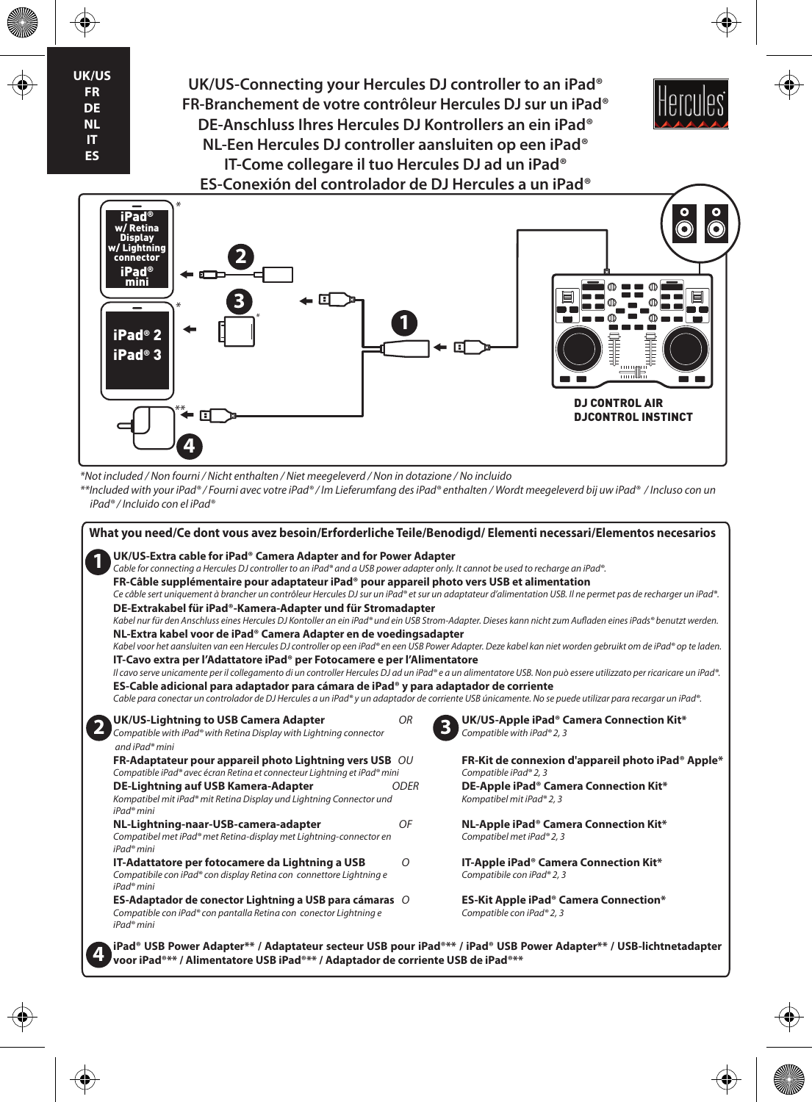**UK/US FR DE NL IT ES**

♦

**UK/US-Connecting your Hercules DJ controller to an iPad® FR-Branchement de votre contrôleur Hercules DJ sur un iPad® DE-Anschluss Ihres Hercules DJ Kontrollers an ein iPad® NL-Een Hercules DJ controller aansluiten op een iPad® IT-Come collegare il tuo Hercules DJ ad un iPad® ES-Conexión del controlador de DJ Hercules a un iPad®**



⊕



*\*Not included / Non fourni / Nicht enthalten / Niet meegeleverd / Non in dotazione / No incluido*

*\*\*Included with your iPad® / Fourni avec votre iPad® / Im Lieferumfang des iPad® enthalten / Wordt meegeleverd bij uw iPad® / Incluso con un iPad® / Incluido con el iPad®*

| What you need/Ce dont vous avez besoin/Erforderliche Teile/Benodigd/ Elementi necessari/Elementos necesarios                                                                                                                                                                                                                                                                                                                                                                                                                                                                                                                                                                                                                                                                                                                                                                                                                                                                                                                                                                                                                                                                                                                                                                                                                                                                                                                                                              |             |                                                                                                                                                                          |
|---------------------------------------------------------------------------------------------------------------------------------------------------------------------------------------------------------------------------------------------------------------------------------------------------------------------------------------------------------------------------------------------------------------------------------------------------------------------------------------------------------------------------------------------------------------------------------------------------------------------------------------------------------------------------------------------------------------------------------------------------------------------------------------------------------------------------------------------------------------------------------------------------------------------------------------------------------------------------------------------------------------------------------------------------------------------------------------------------------------------------------------------------------------------------------------------------------------------------------------------------------------------------------------------------------------------------------------------------------------------------------------------------------------------------------------------------------------------------|-------------|--------------------------------------------------------------------------------------------------------------------------------------------------------------------------|
| UK/US-Extra cable for iPad <sup>®</sup> Camera Adapter and for Power Adapter<br>Cable for connecting a Hercules DJ controller to an iPad® and a USB power adapter only. It cannot be used to recharge an iPad®.<br>FR-Câble supplémentaire pour adaptateur iPad® pour appareil photo vers USB et alimentation<br>Ce câble sert uniquement à brancher un contrôleur Hercules DJ sur un iPad® et sur un adaptateur d'alimentation USB. Il ne permet pas de recharger un iPad®.<br>DE-Extrakabel für iPad®-Kamera-Adapter und für Stromadapter<br>Kabel nur für den Anschluss eines Hercules DJ Kontoller an ein iPad® und ein USB Strom-Adapter. Dieses kann nicht zum Aufladen eines iPads® benutzt werden.<br>NL-Extra kabel voor de iPad® Camera Adapter en de voedingsadapter<br>Kabel voor het aansluiten van een Hercules DJ controller op een iPad® en een USB Power Adapter. Deze kabel kan niet worden gebruikt om de iPad® op te laden.<br>IT-Cavo extra per l'Adattatore iPad <sup>®</sup> per Fotocamere e per l'Alimentatore<br>Il cavo serve unicamente per il collegamento di un controller Hercules DJ ad un iPad® e a un alimentatore USB. Non può essere utilizzato per ricaricare un iPad®.<br>ES-Cable adicional para adaptador para cámara de iPad <sup>®</sup> y para adaptador de corriente<br>Cable para conectar un controlador de DJ Hercules a un iPad® y un adaptador de corriente USB únicamente. No se puede utilizar para recargar un iPad®. |             |                                                                                                                                                                          |
| UK/US-Lightning to USB Camera Adapter<br>Compatible with iPad® with Retina Display with Lightning connector<br>and iPad® mini                                                                                                                                                                                                                                                                                                                                                                                                                                                                                                                                                                                                                                                                                                                                                                                                                                                                                                                                                                                                                                                                                                                                                                                                                                                                                                                                             | <b>OR</b>   | UK/US-Apple iPad <sup>®</sup> Camera Connection Kit*<br>Compatible with iPad® 2, 3                                                                                       |
| FR-Adaptateur pour appareil photo Lightning vers USB OU<br>Compatible iPad® avec écran Retina et connecteur Lightning et iPad® mini<br>DE-Lightning auf USB Kamera-Adapter<br>Kompatibel mit iPad® mit Retina Display und Lightning Connector und                                                                                                                                                                                                                                                                                                                                                                                                                                                                                                                                                                                                                                                                                                                                                                                                                                                                                                                                                                                                                                                                                                                                                                                                                         | <b>ODER</b> | FR-Kit de connexion d'appareil photo iPad <sup>®</sup> Apple*<br>Compatible iPad® 2, 3<br>DE-Apple iPad <sup>®</sup> Camera Connection Kit*<br>Kompatibel mit iPad® 2, 3 |
| iPad <sup>®</sup> mini<br>NL-Lightning-naar-USB-camera-adapter<br>Compatibel met iPad® met Retina-display met Lightning-connector en<br>iPad <sup>®</sup> mini                                                                                                                                                                                                                                                                                                                                                                                                                                                                                                                                                                                                                                                                                                                                                                                                                                                                                                                                                                                                                                                                                                                                                                                                                                                                                                            | OF          | NL-Apple iPad <sup>®</sup> Camera Connection Kit*<br>Compatibel met iPad® 2, 3                                                                                           |
| IT-Adattatore per fotocamere da Lightning a USB<br>Compatibile con iPad® con display Retina con connettore Lightning e<br>iPad <sup>®</sup> mini                                                                                                                                                                                                                                                                                                                                                                                                                                                                                                                                                                                                                                                                                                                                                                                                                                                                                                                                                                                                                                                                                                                                                                                                                                                                                                                          | O           | IT-Apple iPad <sup>®</sup> Camera Connection Kit*<br>Compatibile con iPad® 2, 3                                                                                          |
| ES-Adaptador de conector Lightning a USB para cámaras O<br>Compatible con iPad® con pantalla Retina con conector Lightning e<br>iPad <sup>®</sup> mini                                                                                                                                                                                                                                                                                                                                                                                                                                                                                                                                                                                                                                                                                                                                                                                                                                                                                                                                                                                                                                                                                                                                                                                                                                                                                                                    |             | <b>ES-Kit Apple iPad<sup>®</sup> Camera Connection*</b><br>Compatible con iPad® 2, 3                                                                                     |